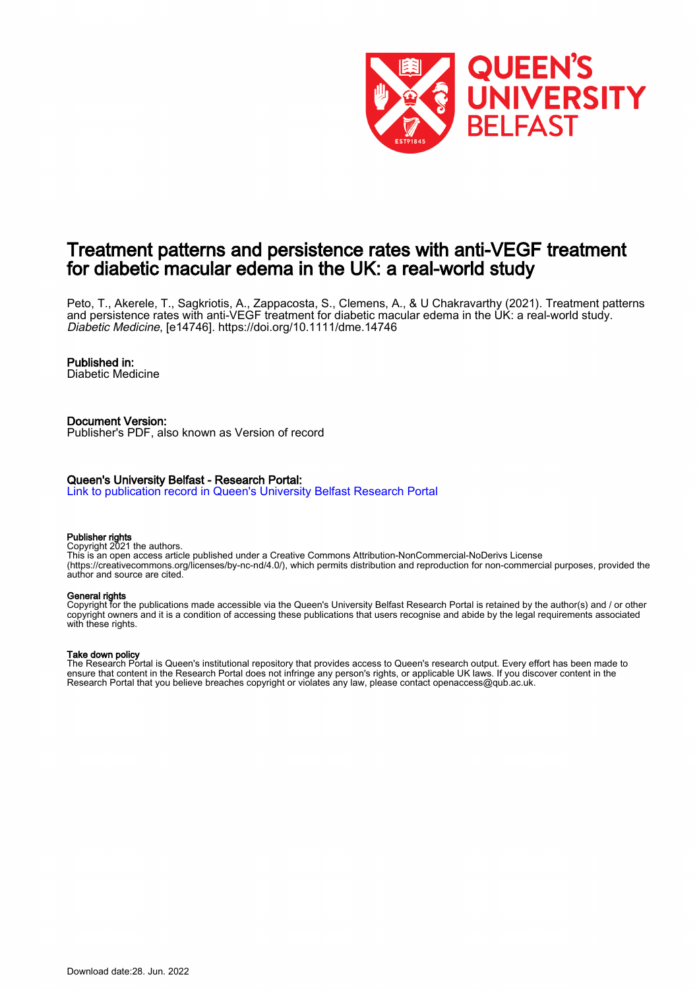

# Treatment patterns and persistence rates with anti-VEGF treatment for diabetic macular edema in the UK: a real-world study

Peto, T., Akerele, T., Sagkriotis, A., Zappacosta, S., Clemens, A., & U Chakravarthy (2021). Treatment patterns and persistence rates with anti-VEGF treatment for diabetic macular edema in the UK: a real-world study. Diabetic Medicine, [e14746]. <https://doi.org/10.1111/dme.14746>

#### Published in:

Diabetic Medicine

Document Version: Publisher's PDF, also known as Version of record

#### Queen's University Belfast - Research Portal:

[Link to publication record in Queen's University Belfast Research Portal](https://pure.qub.ac.uk/en/publications/20442fd2-de17-4965-8bb2-99a212ed990f)

#### Publisher rights

Copyright 2021 the authors.

This is an open access article published under a Creative Commons Attribution-NonCommercial-NoDerivs License (https://creativecommons.org/licenses/by-nc-nd/4.0/), which permits distribution and reproduction for non-commercial purposes, provided the author and source are cited.

#### General rights

Copyright for the publications made accessible via the Queen's University Belfast Research Portal is retained by the author(s) and / or other copyright owners and it is a condition of accessing these publications that users recognise and abide by the legal requirements associated with these rights.

#### Take down policy

The Research Portal is Queen's institutional repository that provides access to Queen's research output. Every effort has been made to ensure that content in the Research Portal does not infringe any person's rights, or applicable UK laws. If you discover content in the Research Portal that you believe breaches copyright or violates any law, please contact openaccess@qub.ac.uk.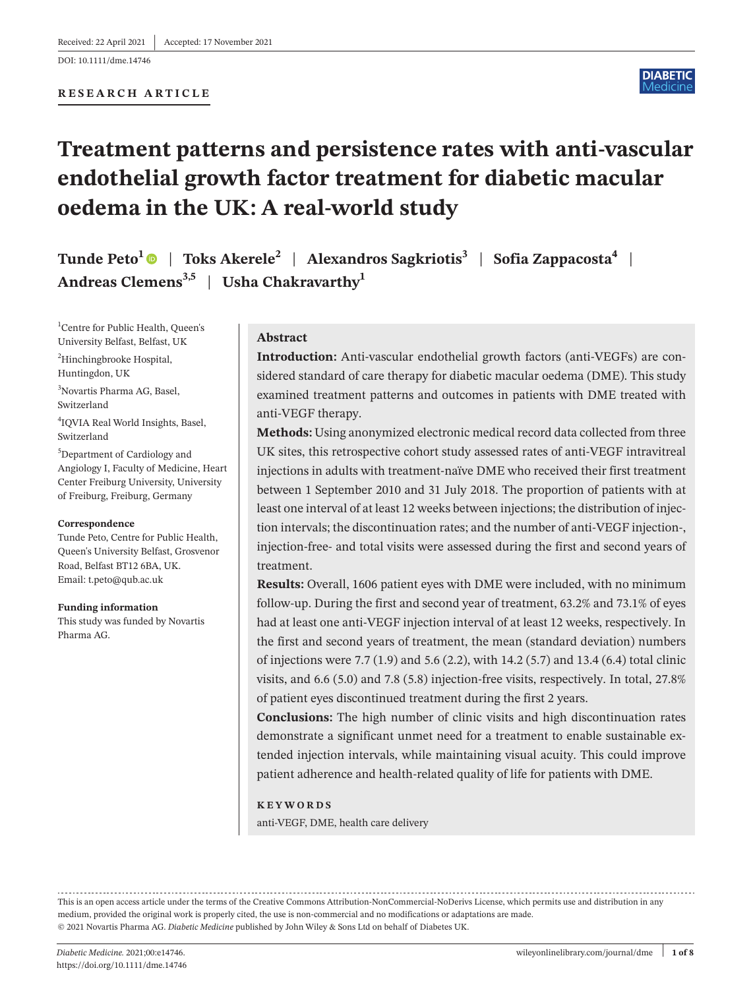#### DOI: 10.1111/dme.14746

## **RESEARCH ARTICLE**



# **Treatment patterns and persistence rates with anti-vascular endothelial growth factor treatment for diabetic macular oedema in the UK: A real-world study**

**Tunde Peto<sup>1</sup> | Toks Akerele<sup>2</sup> | Alexandros Sagkriotis<sup>3</sup> | Sofia Zappacosta<sup>4</sup> | Andreas Clemens3,5** | **Usha Chakravarthy1**

<sup>1</sup>Centre for Public Health, Queen's University Belfast, Belfast, UK <sup>2</sup>Hinchingbrooke Hospital,

Huntingdon, UK

3 Novartis Pharma AG, Basel, Switzerland

4 IQVIA Real World Insights, Basel, Switzerland

5 Department of Cardiology and Angiology I, Faculty of Medicine, Heart Center Freiburg University, University of Freiburg, Freiburg, Germany

#### **Correspondence**

Tunde Peto, Centre for Public Health, Queen's University Belfast, Grosvenor Road, Belfast BT12 6BA, UK. Email: [t.peto@qub.ac.uk](mailto:t.peto@qub.ac.uk)

**Funding information** This study was funded by Novartis Pharma AG.

## **Abstract**

**Introduction:** Anti-vascular endothelial growth factors (anti-VEGFs) are considered standard of care therapy for diabetic macular oedema (DME). This study examined treatment patterns and outcomes in patients with DME treated with anti-VEGF therapy.

**Methods:** Using anonymized electronic medical record data collected from three UK sites, this retrospective cohort study assessed rates of anti-VEGF intravitreal injections in adults with treatment-naïve DME who received their first treatment between 1 September 2010 and 31 July 2018. The proportion of patients with at least one interval of at least 12 weeks between injections; the distribution of injection intervals; the discontinuation rates; and the number of anti-VEGF injection-, injection-free- and total visits were assessed during the first and second years of treatment.

**Results:** Overall, 1606 patient eyes with DME were included, with no minimum follow-up. During the first and second year of treatment, 63.2% and 73.1% of eyes had at least one anti-VEGF injection interval of at least 12 weeks, respectively. In the first and second years of treatment, the mean (standard deviation) numbers of injections were 7.7 (1.9) and 5.6 (2.2), with 14.2 (5.7) and 13.4 (6.4) total clinic visits, and 6.6 (5.0) and 7.8 (5.8) injection-free visits, respectively. In total, 27.8% of patient eyes discontinued treatment during the first 2 years.

**Conclusions:** The high number of clinic visits and high discontinuation rates demonstrate a significant unmet need for a treatment to enable sustainable extended injection intervals, while maintaining visual acuity. This could improve patient adherence and health-related quality of life for patients with DME.

#### **KEYWORDS**

anti-VEGF, DME, health care delivery

This is an open access article under the terms of the Creative Commons [Attribution-NonCommercial-NoDerivs](http://creativecommons.org/licenses/by-nc-nd/4.0/) License, which permits use and distribution in any medium, provided the original work is properly cited, the use is non-commercial and no modifications or adaptations are made. © 2021 Novartis Pharma AG. *Diabetic Medicine* published by John Wiley & Sons Ltd on behalf of Diabetes UK.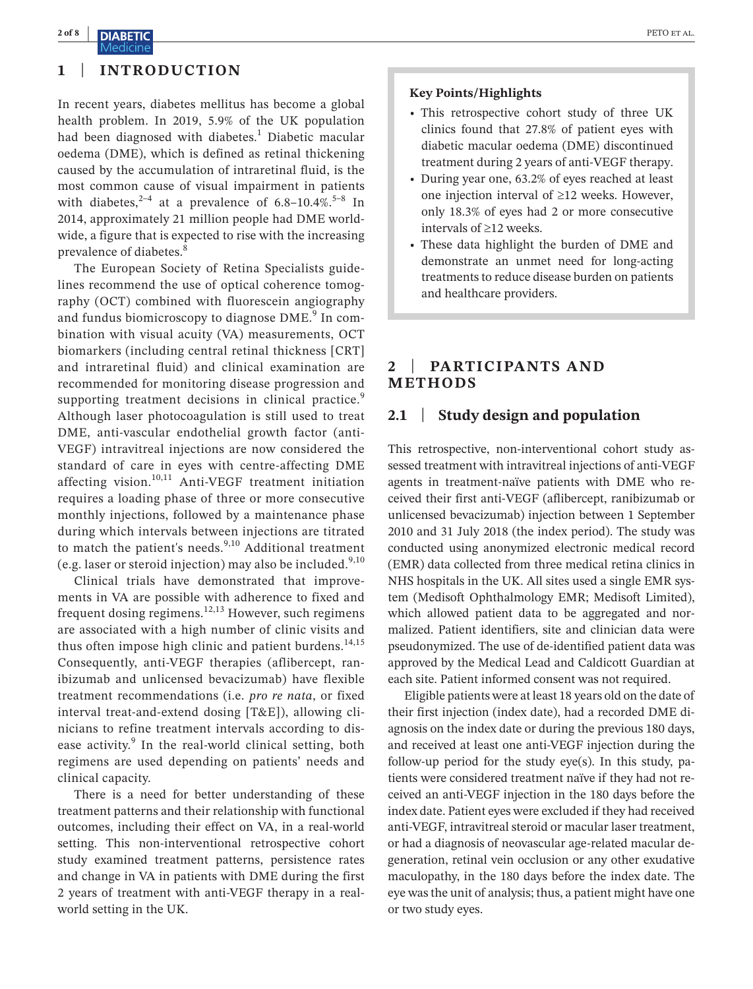## **2 of 8 |** PETO et al. Medicin

# **1** | **INTRODUCTION**

In recent years, diabetes mellitus has become a global health problem. In 2019, 5.9% of the UK population had been diagnosed with diabetes.<sup>1</sup> Diabetic macular oedema (DME), which is defined as retinal thickening caused by the accumulation of intraretinal fluid, is the most common cause of visual impairment in patients with diabetes,  $2^{-4}$  at a prevalence of 6.8–10.4%.<sup>5–8</sup> In 2014, approximately 21 million people had DME worldwide, a figure that is expected to rise with the increasing prevalence of diabetes.<sup>8</sup>

The European Society of Retina Specialists guidelines recommend the use of optical coherence tomography (OCT) combined with fluorescein angiography and fundus biomicroscopy to diagnose DME.<sup>9</sup> In combination with visual acuity (VA) measurements, OCT biomarkers (including central retinal thickness [CRT] and intraretinal fluid) and clinical examination are recommended for monitoring disease progression and supporting treatment decisions in clinical practice.<sup>9</sup> Although laser photocoagulation is still used to treat DME, anti-vascular endothelial growth factor (anti-VEGF) intravitreal injections are now considered the standard of care in eyes with centre-affecting DME affecting vision.<sup>10,11</sup> Anti-VEGF treatment initiation requires a loading phase of three or more consecutive monthly injections, followed by a maintenance phase during which intervals between injections are titrated to match the patient's needs. $9,10$  Additional treatment (e.g. laser or steroid injection) may also be included.<sup>9,10</sup>

Clinical trials have demonstrated that improvements in VA are possible with adherence to fixed and frequent dosing regimens.<sup>12,13</sup> However, such regimens are associated with a high number of clinic visits and thus often impose high clinic and patient burdens. $14,15$ Consequently, anti-VEGF therapies (aflibercept, ranibizumab and unlicensed bevacizumab) have flexible treatment recommendations (i.e. *pro re nata*, or fixed interval treat-and-extend dosing [T&E]), allowing clinicians to refine treatment intervals according to disease activity.<sup>9</sup> In the real-world clinical setting, both regimens are used depending on patients' needs and clinical capacity.

There is a need for better understanding of these treatment patterns and their relationship with functional outcomes, including their effect on VA, in a real-world setting. This non-interventional retrospective cohort study examined treatment patterns, persistence rates and change in VA in patients with DME during the first 2 years of treatment with anti-VEGF therapy in a realworld setting in the UK.

## **Key Points/Highlights**

- This retrospective cohort study of three UK clinics found that 27.8% of patient eyes with diabetic macular oedema (DME) discontinued treatment during 2 years of anti-VEGF therapy.
- • During year one, 63.2% of eyes reached at least one injection interval of ≥12 weeks. However, only 18.3% of eyes had 2 or more consecutive intervals of ≥12 weeks.
- These data highlight the burden of DME and demonstrate an unmet need for long-acting treatments to reduce disease burden on patients and healthcare providers.

# **2** | **PARTICIPANTS AND METHODS**

# **2.1** | **Study design and population**

This retrospective, non-interventional cohort study assessed treatment with intravitreal injections of anti-VEGF agents in treatment-naïve patients with DME who received their first anti-VEGF (aflibercept, ranibizumab or unlicensed bevacizumab) injection between 1 September 2010 and 31 July 2018 (the index period). The study was conducted using anonymized electronic medical record (EMR) data collected from three medical retina clinics in NHS hospitals in the UK. All sites used a single EMR system (Medisoft Ophthalmology EMR; Medisoft Limited), which allowed patient data to be aggregated and normalized. Patient identifiers, site and clinician data were pseudonymized. The use of de-identified patient data was approved by the Medical Lead and Caldicott Guardian at each site. Patient informed consent was not required.

Eligible patients were at least 18 years old on the date of their first injection (index date), had a recorded DME diagnosis on the index date or during the previous 180 days, and received at least one anti-VEGF injection during the follow-up period for the study eye(s). In this study, patients were considered treatment naïve if they had not received an anti-VEGF injection in the 180 days before the index date. Patient eyes were excluded if they had received anti-VEGF, intravitreal steroid or macular laser treatment, or had a diagnosis of neovascular age-related macular degeneration, retinal vein occlusion or any other exudative maculopathy, in the 180 days before the index date. The eye wasthe unit of analysis; thus, a patient might have one or two study eyes.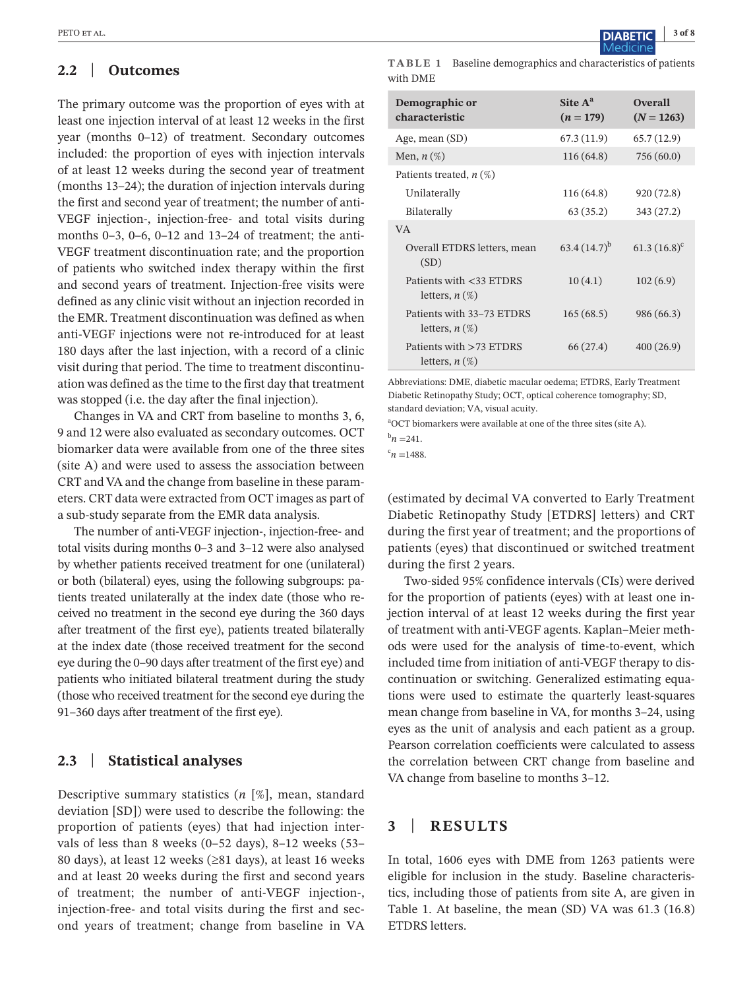# **2.2** | **Outcomes**

The primary outcome was the proportion of eyes with at least one injection interval of at least 12 weeks in the first year (months 0–12) of treatment. Secondary outcomes included: the proportion of eyes with injection intervals of at least 12 weeks during the second year of treatment (months 13–24); the duration of injection intervals during the first and second year of treatment; the number of anti-VEGF injection-, injection-free- and total visits during months 0–3, 0–6, 0–12 and 13–24 of treatment; the anti-VEGF treatment discontinuation rate; and the proportion of patients who switched index therapy within the first and second years of treatment. Injection-free visits were defined as any clinic visit without an injection recorded in the EMR. Treatment discontinuation was defined as when anti-VEGF injections were not re-introduced for at least 180 days after the last injection, with a record of a clinic visit during that period. The time to treatment discontinuation was defined asthe time to the first day that treatment was stopped (i.e. the day after the final injection).

Changes in VA and CRT from baseline to months 3, 6, 9 and 12 were also evaluated as secondary outcomes. OCT biomarker data were available from one of the three sites (site A) and were used to assess the association between CRT and VA and the change from baseline in these parameters. CRT data were extracted from OCT images as part of a sub-study separate from the EMR data analysis.

The number of anti-VEGF injection-, injection-free- and total visits during months 0–3 and 3–12 were also analysed by whether patients received treatment for one (unilateral) or both (bilateral) eyes, using the following subgroups: patients treated unilaterally at the index date (those who received no treatment in the second eye during the 360 days after treatment of the first eye), patients treated bilaterally at the index date (those received treatment for the second eye during the 0–90 days after treatment of the first eye) and patients who initiated bilateral treatment during the study (those who received treatment for the second eye during the 91–360 days after treatment of the first eye).

# **2.3** | **Statistical analyses**

Descriptive summary statistics (*n* [%], mean, standard deviation [SD]) were used to describe the following: the proportion of patients (eyes) that had injection intervals of less than 8 weeks (0–52 days), 8–12 weeks (53– 80 days), at least 12 weeks (≥81 days), at least 16 weeks and at least 20 weeks during the first and second years of treatment; the number of anti-VEGF injection-, injection-free- and total visits during the first and second years of treatment; change from baseline in VA

**TABLE 1** Baseline demographics and characteristics of patients with DME

| Demographic or<br>characteristic                 | Site $A^a$<br>$(n = 179)$ | <b>Overall</b><br>$(N = 1263)$ |
|--------------------------------------------------|---------------------------|--------------------------------|
| Age, mean (SD)                                   | 67.3(11.9)                | 65.7(12.9)                     |
| Men, $n$ $(\%)$                                  | 116(64.8)                 | 756 (60.0)                     |
| Patients treated, $n$ (%)                        |                           |                                |
| Unilaterally                                     | 116(64.8)                 | 920 (72.8)                     |
| Bilaterally                                      | 63(35.2)                  | 343 (27.2)                     |
| <b>VA</b>                                        |                           |                                |
| Overall ETDRS letters, mean<br>(SD)              | $63.4(14.7)^{b}$          | $61.3(16.8)^c$                 |
| Patients with <33 ETDRS<br>letters, $n$ $(\%)$   | 10(4.1)                   | 102(6.9)                       |
| Patients with 33-73 ETDRS<br>letters, $n$ $(\%)$ | 165(68.5)                 | 986 (66.3)                     |
| Patients with >73 ETDRS<br>letters, $n$ $(\%)$   | 66 (27.4)                 | 400(26.9)                      |

Abbreviations: DME, diabetic macular oedema; ETDRS, Early Treatment Diabetic Retinopathy Study; OCT, optical coherence tomography; SD, standard deviation; VA, visual acuity.

a OCT biomarkers were available at one of the three sites (site A).

 $^{b}n = 241.$ 

 $\degree n = 1488.$ 

(estimated by decimal VA converted to Early Treatment Diabetic Retinopathy Study [ETDRS] letters) and CRT during the first year of treatment; and the proportions of patients (eyes) that discontinued or switched treatment during the first 2 years.

Two-sided 95% confidence intervals (CIs) were derived for the proportion of patients (eyes) with at least one injection interval of at least 12 weeks during the first year of treatment with anti-VEGF agents. Kaplan–Meier methods were used for the analysis of time-to-event, which included time from initiation of anti-VEGF therapy to discontinuation or switching. Generalized estimating equations were used to estimate the quarterly least-squares mean change from baseline in VA, for months 3–24, using eyes as the unit of analysis and each patient as a group. Pearson correlation coefficients were calculated to assess the correlation between CRT change from baseline and VA change from baseline to months 3–12.

# **3** | **RESULTS**

In total, 1606 eyes with DME from 1263 patients were eligible for inclusion in the study. Baseline characteristics, including those of patients from site A, are given in Table 1. At baseline, the mean (SD) VA was 61.3 (16.8) ETDRS letters.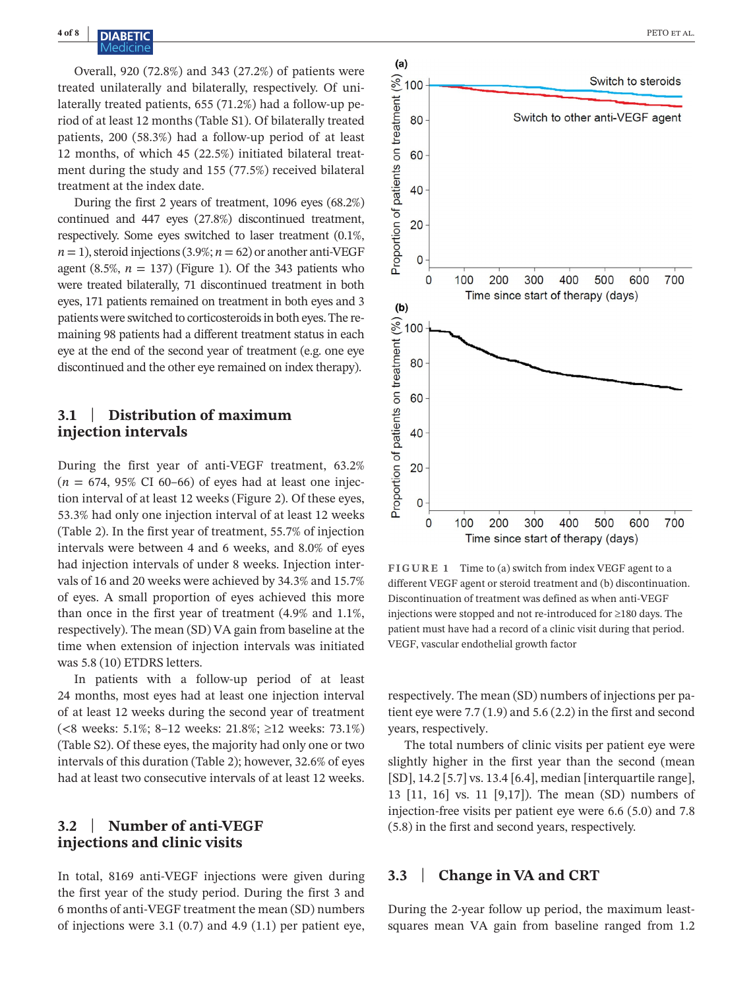Overall, 920 (72.8%) and 343 (27.2%) of patients were treated unilaterally and bilaterally, respectively. Of unilaterally treated patients, 655 (71.2%) had a follow-up period of at least 12 months (Table S1). Of bilaterally treated patients, 200 (58.3%) had a follow-up period of at least 12 months, of which 45 (22.5%) initiated bilateral treatment during the study and 155 (77.5%) received bilateral treatment at the index date.

During the first 2 years of treatment, 1096 eyes (68.2%) continued and 447 eyes (27.8%) discontinued treatment, respectively. Some eyes switched to laser treatment (0.1%,  $n = 1$ ), steroid injections (3.9%;  $n = 62$ ) or another anti-VEGF agent  $(8.5\%, n = 137)$  (Figure 1). Of the 343 patients who were treated bilaterally, 71 discontinued treatment in both eyes, 171 patients remained on treatment in both eyes and 3 patients were switched to corticosteroids in both eyes. The remaining 98 patients had a different treatment status in each eye at the end of the second year of treatment (e.g. one eye discontinued and the other eye remained on index therapy).

# **3.1** | **Distribution of maximum injection intervals**

During the first year of anti-VEGF treatment, 63.2%  $(n = 674, 95\% \text{ CI } 60-66)$  of eyes had at least one injection interval of at least 12 weeks (Figure 2). Of these eyes, 53.3% had only one injection interval of at least 12 weeks (Table 2). In the first year of treatment, 55.7% of injection intervals were between 4 and 6 weeks, and 8.0% of eyes had injection intervals of under 8 weeks. Injection intervals of 16 and 20 weeks were achieved by 34.3% and 15.7% of eyes. A small proportion of eyes achieved this more than once in the first year of treatment (4.9% and 1.1%, respectively). The mean (SD) VA gain from baseline at the time when extension of injection intervals was initiated was 5.8 (10) ETDRS letters.

In patients with a follow-up period of at least 24 months, most eyes had at least one injection interval of at least 12 weeks during the second year of treatment (<8 weeks: 5.1%; 8–12 weeks: 21.8%; ≥12 weeks: 73.1%) (Table S2). Of these eyes, the majority had only one or two intervals of this duration (Table 2); however, 32.6% of eyes had at least two consecutive intervals of at least 12 weeks.

# **3.2** | **Number of anti-VEGF injections and clinic visits**

In total, 8169 anti-VEGF injections were given during the first year of the study period. During the first 3 and 6 months of anti-VEGF treatment the mean (SD) numbers of injections were 3.1  $(0.7)$  and 4.9  $(1.1)$  per patient eye,



**FIGURE 1** Time to (a) switch from index VEGF agent to a different VEGF agent or steroid treatment and (b) discontinuation. Discontinuation of treatment was defined as when anti-VEGF injections were stopped and not re-introduced for ≥180 days. The patient must have had a record of a clinic visit during that period. VEGF, vascular endothelial growth factor

respectively. The mean (SD) numbers of injections per patient eye were 7.7 (1.9) and 5.6 (2.2) in the first and second years, respectively.

The total numbers of clinic visits per patient eye were slightly higher in the first year than the second (mean [SD], 14.2 [5.7] vs. 13.4 [6.4], median [interquartile range], 13 [11, 16] vs. 11 [9,17]). The mean (SD) numbers of injection-free visits per patient eye were 6.6 (5.0) and 7.8 (5.8) in the first and second years, respectively.

# **3.3** | **Change in VA and CRT**

During the 2-year follow up period, the maximum leastsquares mean VA gain from baseline ranged from 1.2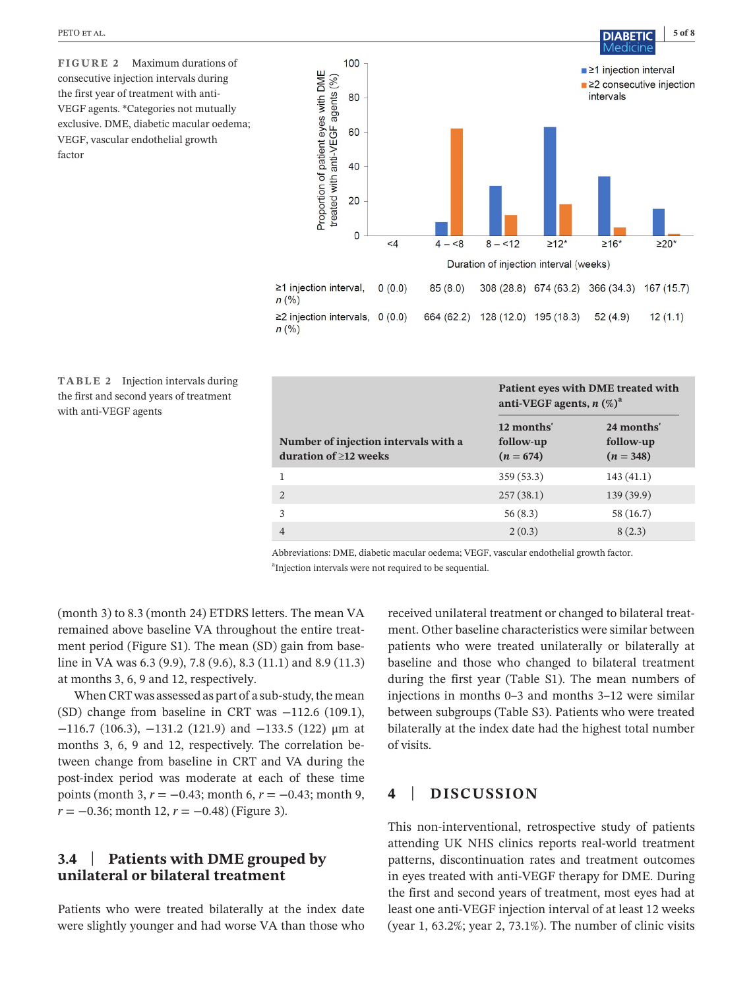**FIGURE 2** Maximum durations of consecutive injection intervals during the first year of treatment with anti-VEGF agents. \*Categories not mutually exclusive. DME, diabetic macular oedema; VEGF, vascular endothelial growth factor



 $n(%)$ 

**TABLE 2** Injection intervals during the first and second years of treatment with anti-VEGF agents

|                                                                     | Patient eyes with DME treated with<br>anti-VEGF agents, $n$ $(\%)^a$ |                                        |
|---------------------------------------------------------------------|----------------------------------------------------------------------|----------------------------------------|
| Number of injection intervals with a<br>duration of $\geq$ 12 weeks | 12 months'<br>follow-up<br>$(n = 674)$                               | 24 months'<br>follow-up<br>$(n = 348)$ |
|                                                                     | 359(53.3)                                                            | 143(41.1)                              |
| $\mathcal{D}$                                                       | 257(38.1)                                                            | 139 (39.9)                             |
| 3                                                                   | 56(8.3)                                                              | 58 (16.7)                              |
| 4                                                                   | 2(0.3)                                                               | 8(2.3)                                 |

Abbreviations: DME, diabetic macular oedema; VEGF, vascular endothelial growth factor. <sup>a</sup>Injection intervals were not required to be sequential.

(month 3) to 8.3 (month 24) ETDRS letters. The mean VA remained above baseline VA throughout the entire treatment period (Figure S1). The mean (SD) gain from baseline in VA was 6.3 (9.9), 7.8 (9.6), 8.3 (11.1) and 8.9 (11.3) at months 3, 6, 9 and 12, respectively.

When CRT was assessed as part of a sub-study, the mean (SD) change from baseline in CRT was −112.6 (109.1), −116.7 (106.3), −131.2 (121.9) and −133.5 (122) μm at months 3, 6, 9 and 12, respectively. The correlation between change from baseline in CRT and VA during the post-index period was moderate at each of these time points (month 3, *r* = −0.43; month 6, *r* = −0.43; month 9, *r* = −0.36; month 12, *r* = −0.48) (Figure 3).

# **3.4** | **Patients with DME grouped by unilateral or bilateral treatment**

Patients who were treated bilaterally at the index date were slightly younger and had worse VA than those who

received unilateral treatment or changed to bilateral treatment. Other baseline characteristics were similar between patients who were treated unilaterally or bilaterally at baseline and those who changed to bilateral treatment during the first year (Table S1). The mean numbers of injections in months 0–3 and months 3–12 were similar between subgroups (Table S3). Patients who were treated bilaterally at the index date had the highest total number of visits.

# **4** | **DISCUSSION**

This non-interventional, retrospective study of patients attending UK NHS clinics reports real-world treatment patterns, discontinuation rates and treatment outcomes in eyes treated with anti-VEGF therapy for DME. During the first and second years of treatment, most eyes had at least one anti-VEGF injection interval of at least 12 weeks (year 1, 63.2%; year 2, 73.1%). The number of clinic visits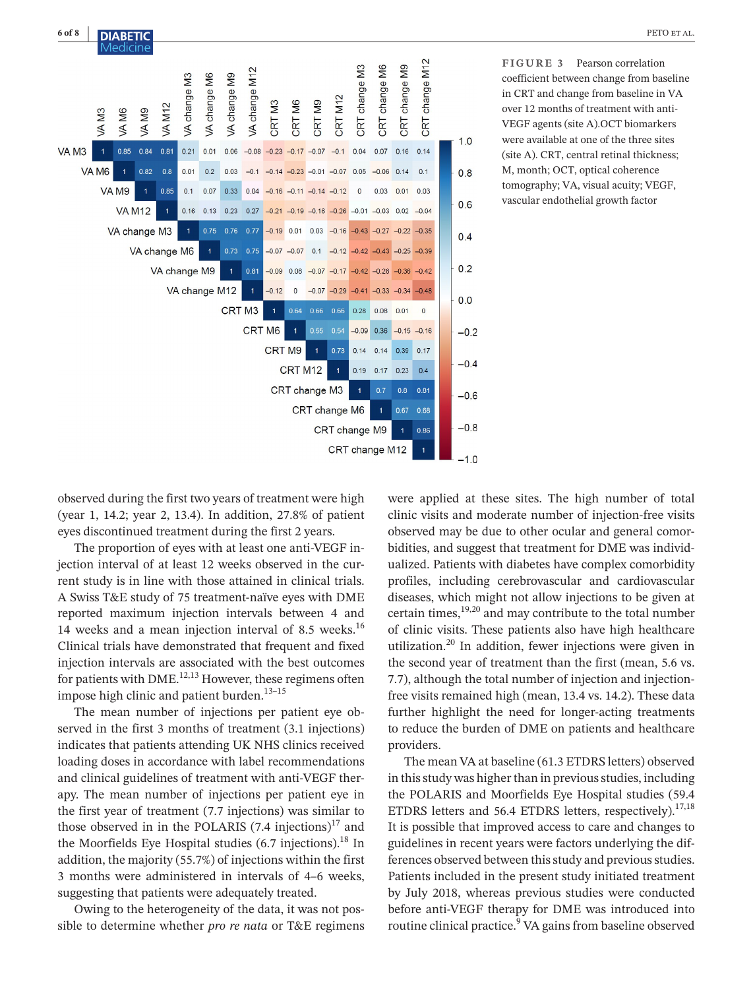

**FIGURE 3** Pearson correlation coefficient between change from baseline in CRT and change from baseline in VA over 12 months of treatment with anti-VEGF agents (site A).OCT biomarkers were available at one of the three sites (site A). CRT, central retinal thickness; M, month; OCT, optical coherence tomography; VA, visual acuity; VEGF, vascular endothelial growth factor

observed during the first two years of treatment were high (year 1, 14.2; year 2, 13.4). In addition, 27.8% of patient eyes discontinued treatment during the first 2 years.

The proportion of eyes with at least one anti-VEGF injection interval of at least 12 weeks observed in the current study is in line with those attained in clinical trials. A Swiss T&E study of 75 treatment-naïve eyes with DME reported maximum injection intervals between 4 and 14 weeks and a mean injection interval of 8.5 weeks. $^{16}$ Clinical trials have demonstrated that frequent and fixed injection intervals are associated with the best outcomes for patients with DME.<sup>12,13</sup> However, these regimens often impose high clinic and patient burden.<sup>13-15</sup>

The mean number of injections per patient eye observed in the first 3 months of treatment (3.1 injections) indicates that patients attending UK NHS clinics received loading doses in accordance with label recommendations and clinical guidelines of treatment with anti-VEGF therapy. The mean number of injections per patient eye in the first year of treatment (7.7 injections) was similar to those observed in in the POLARIS  $(7.4 \text{ injections})^{17}$  and the Moorfields Eye Hospital studies  $(6.7 \text{ injections})$ .<sup>18</sup> In addition, the majority (55.7%) of injections within the first 3 months were administered in intervals of 4–6 weeks, suggesting that patients were adequately treated.

Owing to the heterogeneity of the data, it was not possible to determine whether *pro re nata* or T&E regimens were applied at these sites. The high number of total clinic visits and moderate number of injection-free visits observed may be due to other ocular and general comorbidities, and suggest that treatment for DME was individualized. Patients with diabetes have complex comorbidity profiles, including cerebrovascular and cardiovascular diseases, which might not allow injections to be given at certain times,19,20 and may contribute to the total number of clinic visits. These patients also have high healthcare utilization.<sup>20</sup> In addition, fewer injections were given in the second year of treatment than the first (mean, 5.6 vs. 7.7), although the total number of injection and injectionfree visits remained high (mean, 13.4 vs. 14.2). These data further highlight the need for longer-acting treatments to reduce the burden of DME on patients and healthcare providers.

The mean VA at baseline (61.3 ETDRS letters) observed in this study was higher than in previous studies, including the POLARIS and Moorfields Eye Hospital studies (59.4 ETDRS letters and 56.4 ETDRS letters, respectively).<sup>17,18</sup> It is possible that improved access to care and changes to guidelines in recent years were factors underlying the differences observed between this study and previous studies. Patients included in the present study initiated treatment by July 2018, whereas previous studies were conducted before anti-VEGF therapy for DME was introduced into routine clinical practice.<sup>9</sup> VA gains from baseline observed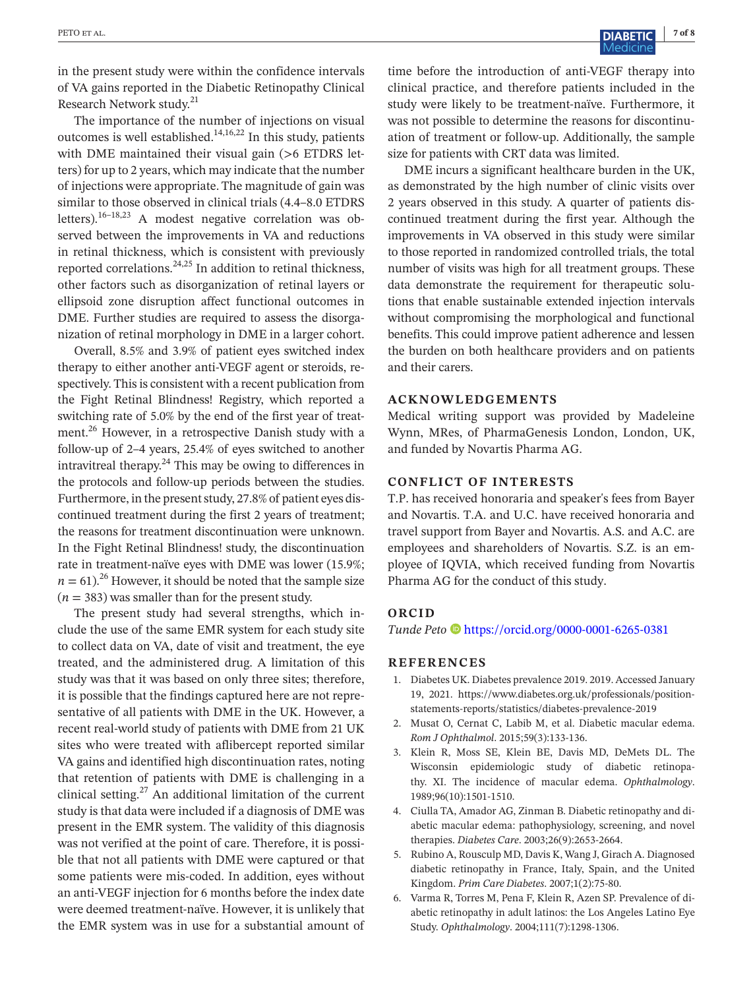in the present study were within the confidence intervals of VA gains reported in the Diabetic Retinopathy Clinical Research Network study.21

The importance of the number of injections on visual outcomes is well established. $14,16,22$  In this study, patients with DME maintained their visual gain (>6 ETDRS letters) for up to 2 years, which may indicate that the number of injections were appropriate. The magnitude of gain was similar to those observed in clinical trials (4.4–8.0 ETDRS letters).16–18,23 A modest negative correlation was observed between the improvements in VA and reductions in retinal thickness, which is consistent with previously reported correlations. $24.25$  In addition to retinal thickness, other factors such as disorganization of retinal layers or ellipsoid zone disruption affect functional outcomes in DME. Further studies are required to assess the disorganization of retinal morphology in DME in a larger cohort.

Overall, 8.5% and 3.9% of patient eyes switched index therapy to either another anti-VEGF agent or steroids, respectively. This is consistent with a recent publication from the Fight Retinal Blindness! Registry, which reported a switching rate of 5.0% by the end of the first year of treatment.<sup>26</sup> However, in a retrospective Danish study with a follow-up of 2–4 years, 25.4% of eyes switched to another intravitreal therapy. $^{24}$  This may be owing to differences in the protocols and follow-up periods between the studies. Furthermore, in the present study, 27.8% of patient eyes discontinued treatment during the first 2 years of treatment; the reasons for treatment discontinuation were unknown. In the Fight Retinal Blindness! study, the discontinuation rate in treatment-naïve eyes with DME was lower (15.9%;  $n = 61$ <sup>26</sup> However, it should be noted that the sample size  $(n = 383)$  was smaller than for the present study.

The present study had several strengths, which include the use of the same EMR system for each study site to collect data on VA, date of visit and treatment, the eye treated, and the administered drug. A limitation of this study was that it was based on only three sites; therefore, it is possible that the findings captured here are not representative of all patients with DME in the UK. However, a recent real-world study of patients with DME from 21 UK sites who were treated with aflibercept reported similar VA gains and identified high discontinuation rates, noting that retention of patients with DME is challenging in a clinical setting. $27$  An additional limitation of the current study is that data were included if a diagnosis of DME was present in the EMR system. The validity of this diagnosis was not verified at the point of care. Therefore, it is possible that not all patients with DME were captured or that some patients were mis-coded. In addition, eyes without an anti-VEGF injection for 6 months before the index date were deemed treatment-naïve. However, it is unlikely that the EMR system was in use for a substantial amount of

time before the introduction of anti-VEGF therapy into clinical practice, and therefore patients included in the study were likely to be treatment-naïve. Furthermore, it was not possible to determine the reasons for discontinuation of treatment or follow-up. Additionally, the sample size for patients with CRT data was limited.

DME incurs a significant healthcare burden in the UK, as demonstrated by the high number of clinic visits over 2 years observed in this study. A quarter of patients discontinued treatment during the first year. Although the improvements in VA observed in this study were similar to those reported in randomized controlled trials, the total number of visits was high for all treatment groups. These data demonstrate the requirement for therapeutic solutions that enable sustainable extended injection intervals without compromising the morphological and functional benefits. This could improve patient adherence and lessen the burden on both healthcare providers and on patients and their carers.

### **ACKNOWLEDGEMENTS**

Medical writing support was provided by Madeleine Wynn, MRes, of PharmaGenesis London, London, UK, and funded by Novartis Pharma AG.

## **CONFLICT OF INTERESTS**

T.P. has received honoraria and speaker's fees from Bayer and Novartis. T.A. and U.C. have received honoraria and travel support from Bayer and Novartis. A.S. and A.C. are employees and shareholders of Novartis. S.Z. is an employee of IQVIA, which received funding from Novartis Pharma AG for the conduct of this study.

#### **ORCID**

*Tunde Peto* <https://orcid.org/0000-0001-6265-0381>

#### **REFERENCES**

- 1. Diabetes UK. Diabetes prevalence 2019. 2019. Accessed January 19, 2021. [https://www.diabetes.org.uk/professionals/position](https://www.diabetes.org.uk/professionals/position-statements-reports/statistics/diabetes-prevalence-2019)[statements-reports/statistics/diabetes-prevalence-2019](https://www.diabetes.org.uk/professionals/position-statements-reports/statistics/diabetes-prevalence-2019)
- 2. Musat O, Cernat C, Labib M, et al. Diabetic macular edema. *Rom J Ophthalmol*. 2015;59(3):133-136.
- 3. Klein R, Moss SE, Klein BE, Davis MD, DeMets DL. The Wisconsin epidemiologic study of diabetic retinopathy. XI. The incidence of macular edema. *Ophthalmology*. 1989;96(10):1501-1510.
- 4. Ciulla TA, Amador AG, Zinman B. Diabetic retinopathy and diabetic macular edema: pathophysiology, screening, and novel therapies. *Diabetes Care*. 2003;26(9):2653-2664.
- 5. Rubino A, Rousculp MD, Davis K, Wang J, Girach A. Diagnosed diabetic retinopathy in France, Italy, Spain, and the United Kingdom. *Prim Care Diabetes*. 2007;1(2):75-80.
- 6. Varma R, Torres M, Pena F, Klein R, Azen SP. Prevalence of diabetic retinopathy in adult latinos: the Los Angeles Latino Eye Study. *Ophthalmology*. 2004;111(7):1298-1306.